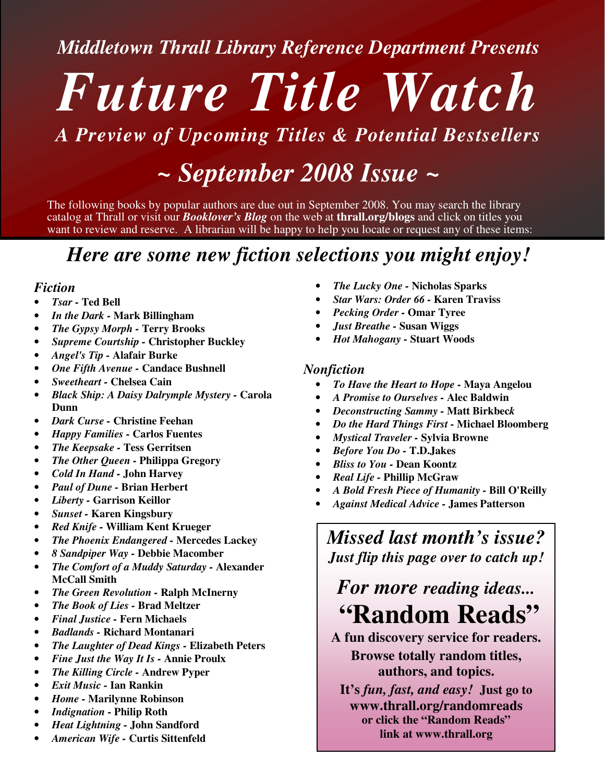### *Middletown Thrall Library Reference Department Presents*

# *Future Title Watch*

## *A Preview of Upcoming Titles & Potential Bestsellers*

# *~ September 2008 Issue ~*

The following books by popular authors are due out in September 2008. You may search the library catalog at Thrall or visit our *Booklover's Blog* on the web at **thrall.org/blogs** and click on titles you want to review and reserve. A librarian will be happy to help you locate or request any of these items:

## *Here are some new fiction selections you might enjoy!*

#### *Fiction*

- *Tsar -* **Ted Bell**
- *In the Dark -* **Mark Billingham**
- *The Gypsy Morph -* **Terry Brooks**
- *Supreme Courtship -* **Christopher Buckley**
- *Angel's Tip -* **Alafair Burke**
- *One Fifth Avenue -* **Candace Bushnell**
- *Sweetheart -* **Chelsea Cain**
- *Black Ship: A Daisy Dalrymple Mystery -* **Carola Dunn**
- *Dark Curse -* **Christine Feehan**
- *Happy Families -* **Carlos Fuentes**
- *The Keepsake -* **Tess Gerritsen**
- *The Other Queen -* **Philippa Gregory**
- *Cold In Hand -* **John Harvey**
- *Paul of Dune -* **Brian Herbert**
- *Liberty -* **Garrison Keillor**
- *Sunset -* **Karen Kingsbury**
- *Red Knife -* **William Kent Krueger**
- *The Phoenix Endangered -* **Mercedes Lackey**
- *8 Sandpiper Way -* **Debbie Macomber**
- *The Comfort of a Muddy Saturday -* **Alexander McCall Smith**
- *The Green Revolution -* **Ralph McInerny**
- *The Book of Lies -* **Brad Meltzer**
- *Final Justice -* **Fern Michaels**
- *Badlands -* **Richard Montanari**
- *The Laughter of Dead Kings -* **Elizabeth Peters**
- *Fine Just the Way It Is -* **Annie Proulx**
- *The Killing Circle -* **Andrew Pyper**
- *Exit Music -* **Ian Rankin**
- *Home -* **Marilynne Robinson**
- *Indignation -* **Philip Roth**
- *Heat Lightning -* **John Sandford**
- *American Wife -* **Curtis Sittenfeld**
- *The Lucky One -* **Nicholas Sparks**
- *Star Wars: Order 66 -* **Karen Traviss**
- *Pecking Order -* **Omar Tyree**
- *Just Breathe -* **Susan Wiggs**
- *Hot Mahogany -* **Stuart Woods**

#### *Nonfiction*

- *To Have the Heart to Hope -* **Maya Angelou**
- *A Promise to Ourselves -* **Alec Baldwin**
- *Deconstructing Sammy -* **Matt Birkbec***k*
- *Do the Hard Things First -* **Michael Bloomberg**
- *Mystical Traveler -* **Sylvia Browne**
- *Before You Do -* **T.D.Jakes**
- *Bliss to You -* **Dean Koontz**
- *Real Life -* **Phillip McGraw**
- *A Bold Fresh Piece of Humanity -* **Bill O'Reilly**
- *Against Medical Advice -* **James Patterson**

*Missed last month's issue? Just flip this page over to catch up!*

# *For more reading ideas...* **"Random Reads"**

**A fun discovery service for readers. Browse totally random titles, authors, and topics.**

**It's** *fun, fast, and easy!* **Just go to www.thrall.org/randomreads or click the "Random Reads" link at www.thrall.org**